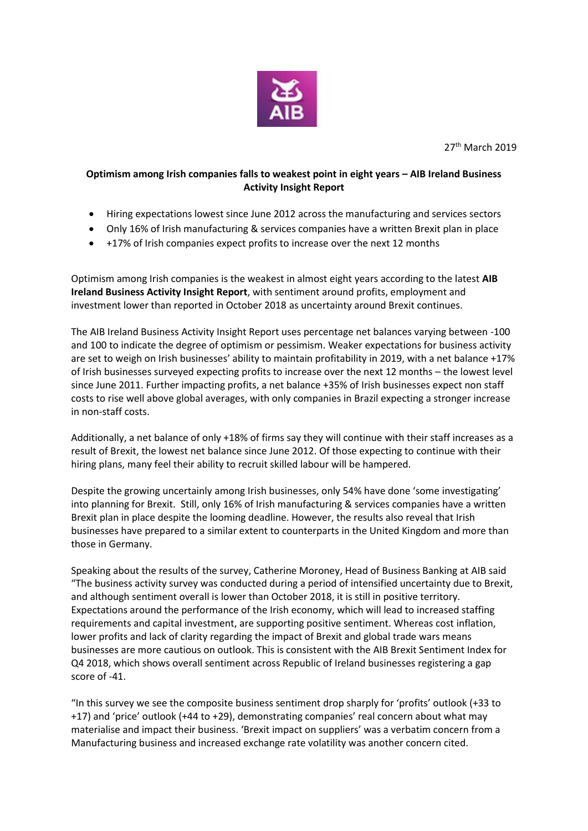

27<sup>th</sup> March 2019

## **Optimism among Irish companies falls to weakest point in eight years – AIB Ireland Business Activity Insight Report**

- Hiring expectations lowest since June 2012 across the manufacturing and services sectors
- Only 16% of Irish manufacturing & services companies have a written Brexit plan in place
- +17% of Irish companies expect profits to increase over the next 12 months

Optimism among Irish companies is the weakest in almost eight years according to the latest **AIB Ireland Business Activity Insight Report**, with sentiment around profits, employment and investment lower than reported in October 2018 as uncertainty around Brexit continues.

The AIB Ireland Business Activity Insight Report uses percentage net balances varying between -100 and 100 to indicate the degree of optimism or pessimism. Weaker expectations for business activity are set to weigh on Irish businesses' ability to maintain profitability in 2019, with a net balance +17% of Irish businesses surveyed expecting profits to increase over the next 12 months – the lowest level since June 2011. Further impacting profits, a net balance +35% of Irish businesses expect non staff costs to rise well above global averages, with only companies in Brazil expecting a stronger increase in non-staff costs.

Additionally, a net balance of only +18% of firms say they will continue with their staff increases as a result of Brexit, the lowest net balance since June 2012. Of those expecting to continue with their hiring plans, many feel their ability to recruit skilled labour will be hampered.

Despite the growing uncertainly among Irish businesses, only 54% have done 'some investigating' into planning for Brexit. Still, only 16% of Irish manufacturing & services companies have a written Brexit plan in place despite the looming deadline. However, the results also reveal that Irish businesses have prepared to a similar extent to counterparts in the United Kingdom and more than those in Germany.

Speaking about the results of the survey, Catherine Moroney, Head of Business Banking at AIB said "The business activity survey was conducted during a period of intensified uncertainty due to Brexit, and although sentiment overall is lower than October 2018, it is still in positive territory. Expectations around the performance of the Irish economy, which will lead to increased staffing requirements and capital investment, are supporting positive sentiment. Whereas cost inflation, lower profits and lack of clarity regarding the impact of Brexit and global trade wars means businesses are more cautious on outlook. This is consistent with the AIB Brexit Sentiment Index for Q4 2018, which shows overall sentiment across Republic of Ireland businesses registering a gap score of -41.

"In this survey we see the composite business sentiment drop sharply for 'profits' outlook (+33 to +17) and 'price' outlook (+44 to +29), demonstrating companies' real concern about what may materialise and impact their business. 'Brexit impact on suppliers' was a verbatim concern from a Manufacturing business and increased exchange rate volatility was another concern cited.